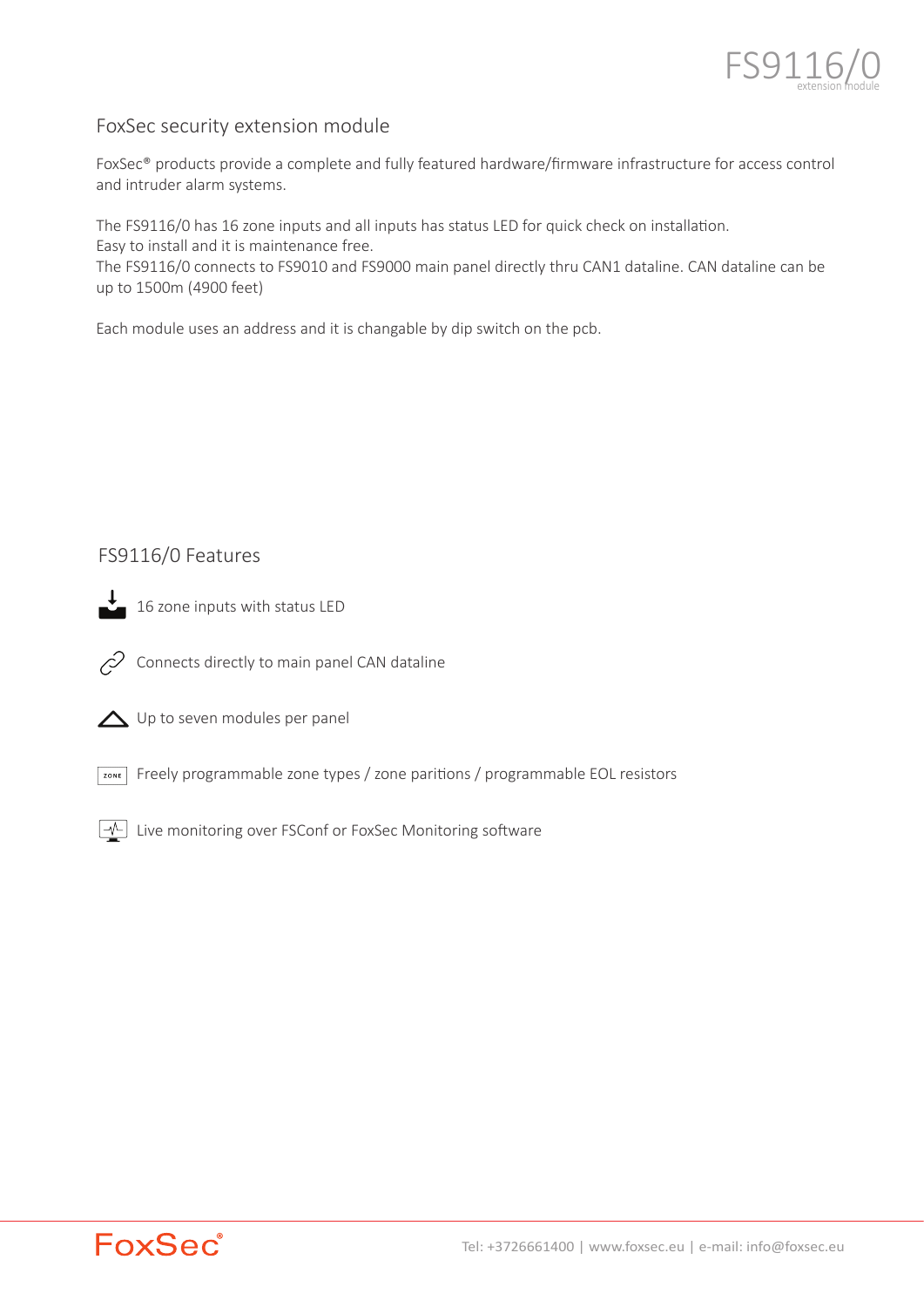

# FoxSec security extension module

FoxSec® products provide a complete and fully featured hardware/firmware infrastructure for access control and intruder alarm systems.

The FS9116/0 has 16 zone inputs and all inputs has status LED for quick check on installation. Easy to install and it is maintenance free.

The FS9116/0 connects to FS9010 and FS9000 main panel directly thru CAN1 dataline. CAN dataline can be up to 1500m (4900 feet)

Each module uses an address and it is changable by dip switch on the pcb.

# FS9116/0 Features



 $\overline{\phantom{a}}$  16 zone inputs with status LED



Connects directly to main panel CAN dataline

Up to seven modules per panel

Freely programmable zone types / zone pari�ons / programmable EOL resistors

 $\boxed{-\sqrt{}}$  Live monitoring over FSConf or FoxSec Monitoring software